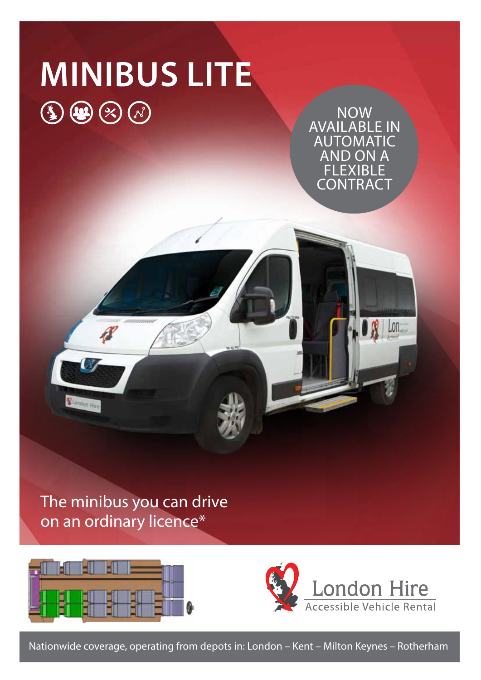# **MINIBUS LITE**  $\textcircled{\scriptsize{1}}\textcircled{\scriptsize{2}}\textcircled{\scriptsize{3}}\textcircled{\scriptsize{4}}$

Now available in **AUTOMATIC** and ON A **FLEXIBLE** contract

Lon.

The minibus you can drive on an ordinary licence\*



**V** London Hire



Nationwide coverage, operating from depots in: London – Kent – Milton Keynes – Rotherham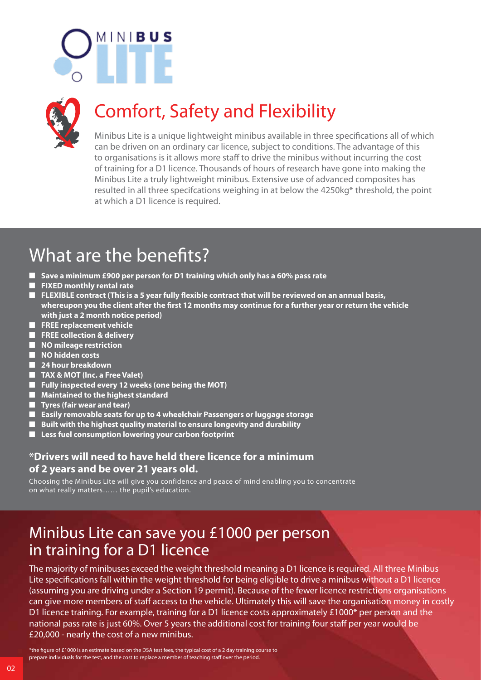



## Comfort, Safety and Flexibility

Minibus Lite is a unique lightweight minibus available in three specifications all of which can be driven on an ordinary car licence, subject to conditions. The advantage of this to organisations is it allows more staff to drive the minibus without incurring the cost of training for a D1 licence. Thousands of hours of research have gone into making the Minibus Lite a truly lightweight minibus. Extensive use of advanced composites has resulted in all three specifcations weighing in at below the 4250kg\* threshold, the point at which a D1 licence is required.

### What are the benefits?

- Save a minimum £900 per person for D1 training which only has a 60% pass rate
- **n** FIXED monthly rental rate
- FLEXIBLE contract (This is a 5 year fully flexible contract that will be reviewed on an annual basis, **whereupon you the client after the first 12 months may continue for a further year or return the vehicle with just a 2 month notice period)**
- **n** FREE replacement vehicle
- n **FREE collection & delivery**
- $\blacksquare$  NO mileage restriction
- **NO hidden costs**
- **24 hour breakdown**
- TAX & MOT (Inc. a Free Valet)
- **n** Fully inspected every 12 weeks (one being the MOT)
- $\blacksquare$  Maintained to the highest standard
- **n** Tyres (fair wear and tear)
- **n** Easily removable seats for up to 4 wheelchair Passengers or luggage storage
- Built with the highest quality material to ensure longevity and durability
- Less fuel consumption lowering your carbon footprint

#### **\*Drivers will need to have held there licence for a minimum of 2 years and be over 21 years old.**

Choosing the Minibus Lite will give you confidence and peace of mind enabling you to concentrate on what really matters…… the pupil's education.

### Minibus Lite can save you £1000 per person in training for a D1 licence

The majority of minibuses exceed the weight threshold meaning a D1 licence is required. All three Minibus Lite specifications fall within the weight threshold for being eligible to drive a minibus without a D1 licence (assuming you are driving under a Section 19 permit). Because of the fewer licence restrictions organisations can give more members of staff access to the vehicle. Ultimately this will save the organisation money in costly D1 licence training. For example, training for a D1 licence costs approximately £1000\* per person and the national pass rate is just 60%. Over 5 years the additional cost for training four staff per year would be £20,000 - nearly the cost of a new minibus.

\*the figure of £1000 is an estimate based on the DSA test fees, the typical cost of a 2 day training course to prepare individuals for the test, and the cost to replace a member of teaching staff over the period.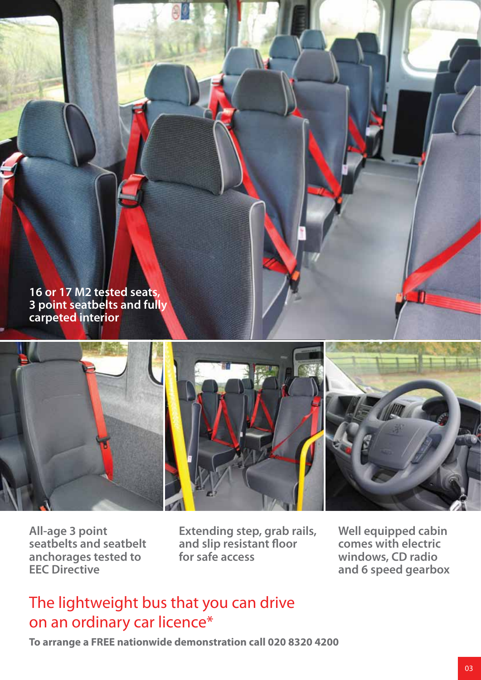



**All-age 3 point seatbelts and seatbelt anchorages tested to EEC Directive**

**Extending step, grab rails, and slip resistant floor for safe access**

**Well equipped cabin comes with electric windows, CD radio and 6 speed gearbox**

### The lightweight bus that you can drive on an ordinary car licence\*

**To arrange a FREE nationwide demonstration call 020 8320 4200**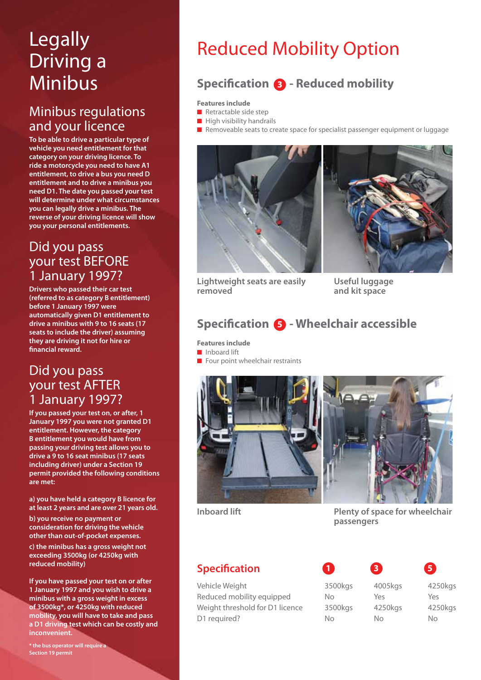# Legally Driving a Minibus

#### Minibus regulations and your licence

**To be able to drive a particular type of vehicle you need entitlement for that category on your driving licence. To ride a motorcycle you need to have A1 entitlement, to drive a bus you need D entitlement and to drive a minibus you need D1. The date you passed your test will determine under what circumstances you can legally drive a minibus. The reverse of your driving licence will show you your personal entitlements.**

#### Did you pass your test BEFORE 1 January 1997?

**Drivers who passed their car test (referred to as category B entitlement) before 1 January 1997 were automatically given D1 entitlement to drive a minibus with 9 to 16 seats (17 seats to include the driver) assuming they are driving it not for hire or financial reward.**

#### Did you pass your test AFTER 1 January 1997?

**If you passed your test on, or after, 1 January 1997 you were not granted D1 entitlement. However, the category B entitlement you would have from passing your driving test allows you to drive a 9 to 16 seat minibus (17 seats including driver) under a Section 19 permit provided the following conditions are met:**

**a) you have held a category B licence for at least 2 years and are over 21 years old.**

**b) you receive no payment or consideration for driving the vehicle other than out-of-pocket expenses.**

**c) the minibus has a gross weight not exceeding 3500kg (or 4250kg with reduced mobility)**

**If you have passed your test on or after 1 January 1997 and you wish to drive a minibus with a gross weight in excess of 3500kg\*, or 4250kg with reduced mobility, you will have to take and pass a D1 driving test which can be costly and inconvenient.**

**\* the bus operator will require a Section 19 permit**

# Reduced Mobility Option

### **Specification 8 - Reduced mobility**

#### **Features include**

- $\blacksquare$  Retractable side step
- $\blacksquare$  High visibility handrails







**Lightweight seats are easily removed**

**Useful luggage and kit space**

#### **Specification 6 - Wheelchair accessible**

**Features include n** Inboard lift

 $\blacksquare$  Four point wheelchair restraints





**Inboard lift**

**Plenty of space for wheelchair passengers**

#### **Specification**

Vehicle Weight **3500kgs** 4005kgs 4250kgs Reduced mobility equipped No Yes Yes Weight threshold for D1 licence and 3500kgs 4250kgs 4250kgs D1 required? No No No No No

**1 3 5**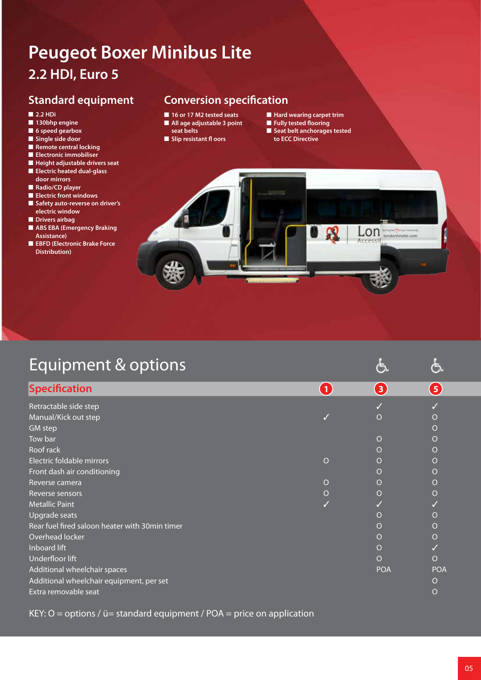### **Peugeot Boxer Minibus Lite 2.2 HDI, Euro 5**

#### **Standard equipment**

- n **2.2 HDi**
- $\blacksquare$  **130bhp engine**
- $\blacksquare$  6 speed gearbox
- n **Single side door**
- **n** Remote central locking
- **n** Electronic immobiliser
- $\blacksquare$  Height adjustable drivers seat n **Electric heated dual-glass**
- **door mirrors**
- **n** Radio/CD player
- **Electric front windows**
- $\blacksquare$  Safety auto-reverse on driver's **electric window**
- **n** Drivers airbag
- **n** ABS EBA (Emergency Braking **Assistance)**
- **n EBFD** (Electronic Brake Force **Distribution)**

#### **Conversion specification**

- **16 or 17 M2 tested seats**
- $\blacksquare$  **All age adjustable 3 point**
- **seat belts**
- **n** Slip resistant fl oors
- $\blacksquare$  **Hard wearing carpet trim**
- **n** Fully tested flooring
- **n** Seat belt anchorages tested **to ECC Directive**



| Equipment & options                            |                |            |            |
|------------------------------------------------|----------------|------------|------------|
| <b>Specification</b>                           | $\blacksquare$ | 3          | 5          |
| Retractable side step                          |                |            |            |
| Manual/Kick out step                           |                | $\Omega$   | O          |
| <b>GM</b> step                                 |                |            | O          |
| Tow bar                                        |                | O          | O          |
| Roof rack                                      |                | $\Omega$   | O          |
| Electric foldable mirrors                      | $\circ$        | $\Omega$   | O          |
| Front dash air conditioning                    |                | O          | O          |
| Reverse camera                                 | $\Omega$       | $\Omega$   | O          |
| Reverse sensors                                | $\circ$        | $\Omega$   | O          |
| <b>Metallic Paint</b>                          |                |            |            |
| Upgrade seats                                  |                | O          | O          |
| Rear fuel fired saloon heater with 30min timer |                | $\Omega$   | O          |
| Overhead locker                                |                | O          | O          |
| Inboard lift                                   |                | O          |            |
| Underfloor lift                                |                | $\Omega$   | O          |
| Additional wheelchair spaces                   |                | <b>POA</b> | <b>POA</b> |
| Additional wheelchair equipment, per set       |                |            | O          |
| Extra removable seat                           |                |            | O          |

KEY:  $O =$  options /  $ü =$  standard equipment / POA = price on application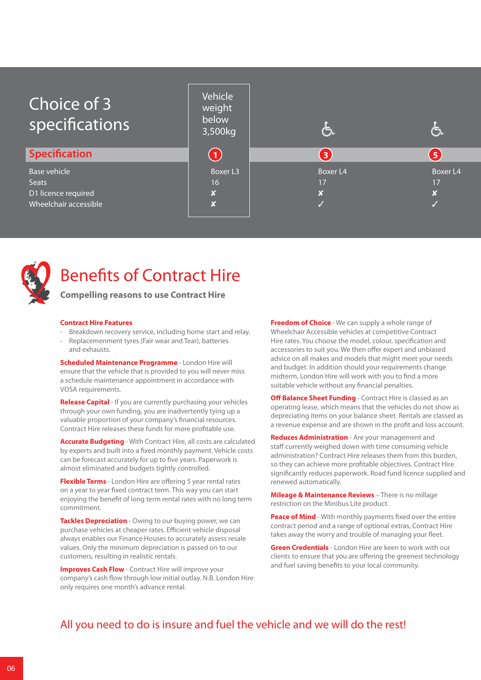| Choice of 3<br>specifications                                                       | Vehicle<br>weight<br>below<br>3,500kg                  | ٤                   |                                                    |
|-------------------------------------------------------------------------------------|--------------------------------------------------------|---------------------|----------------------------------------------------|
| <b>Specification</b>                                                                | $\overline{\mathbf{1}}$                                | $\mathbf{3}$        | 5                                                  |
| <b>Base vehicle</b><br><b>Seats</b><br>D1 licence required<br>Wheelchair accessible | Boxer L3<br>16<br>$\boldsymbol{x}$<br>$\boldsymbol{x}$ | Boxer L4<br>17<br>× | <b>Boxer L4</b><br>17<br>$\boldsymbol{\mathsf{x}}$ |
|                                                                                     |                                                        |                     |                                                    |



### Benefits of Contract Hire

**Compelling reasons to use Contract Hire** 

#### **Contract Hire Features**

Breakdown recovery service, including home start and relay. Replacemenment tyres (Fair wear and Tear), batteries and exhausts.

**Scheduled Maintenance Programme** - London Hire will ensure that the vehicle that is provided to you will never miss a schedule maintenance appointment in accordance with VOSA requirements.

**Release Capital** - If you are currently purchasing your vehicles through your own funding, you are inadvertently tying up a valuable proportion of your company's financial resources. Contract Hire releases these funds for more profitable use.

**Accurate Budgeting** - With Contract Hire, all costs are calculated by experts and built into a fixed monthly payment. Vehicle costs can be forecast accurately for up to five years. Paperwork is almost eliminated and budgets tightly controlled.

**Flexible Terms** - London Hire are offering 5 year rental rates on a year to year fixed contract term. This way you can start enjoying the benefit of long term rental rates with no long term commitment.

**Tackles Depreciation** - Owing to our buying power, we can purchase vehicles at cheaper rates. Efficient vehicle disposal always enables our Finance Houses to accurately assess resale values. Only the minimum depreciation is passed on to our customers, resulting in realistic rentals.

**Improves Cash Flow** - Contract Hire will improve your company's cash flow through low initial outlay. N.B. London Hire only requires one month's advance rental.

**Freedom of Choice** - We can supply a whole range of Wheelchair Accessible vehicles at competitive Contract Hire rates. You choose the model, colour, specification and accessories to suit you. We then offer expert and unbiased advice on all makes and models that might meet your needs and budget. In addition should your requirements change midterm, London Hire will work with you to find a more suitable vehicle without any financial penalties.

**Off Balance Sheet Funding** - Contract Hire is classed as an operating lease, which means that the vehicles do not show as depreciating items on your balance sheet. Rentals are classed as a revenue expense and are shown in the profit and loss account.

**Reduces Administration** - Are your management and staff currently weighed down with time consuming vehicle administration? Contract Hire releases them from this burden, so they can achieve more profitable objectives. Contract Hire significantly reduces paperwork. Road fund licence supplied and renewed automatically.

**Mileage & Maintenance Reviews** – There is no millage restriction on the Minibus Lite product.

**Peace of Mind** - With monthly payments fixed over the entire contract period and a range of optional extras, Contract Hire takes away the worry and trouble of managing your fleet.

**Green Credentials** - London Hire are keen to work with our clients to ensure that you are offering the greenest technology and fuel saving benefits to your local community.

#### All you need to do is insure and fuel the vehicle and we will do the rest!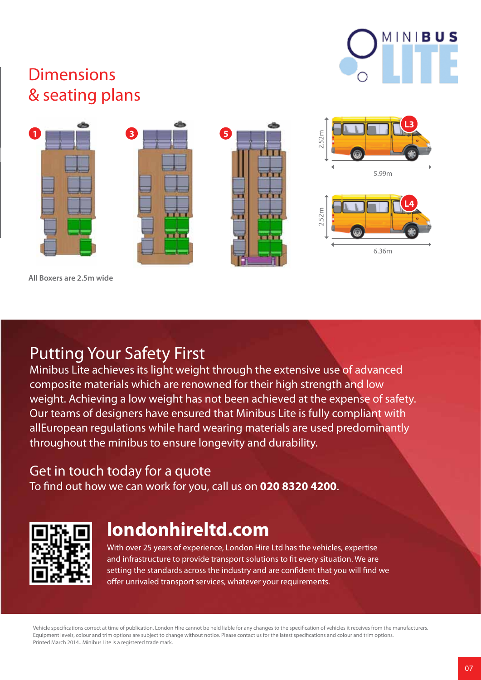

### **Dimensions** & seating plans



**All Boxers are 2.5m wide**

### Putting Your Safety First

Minibus Lite achieves its light weight through the extensive use of advanced composite materials which are renowned for their high strength and low weight. Achieving a low weight has not been achieved at the expense of safety. Our teams of designers have ensured that Minibus Lite is fully compliant with allEuropean regulations while hard wearing materials are used predominantly throughout the minibus to ensure longevity and durability.

#### Get in touch today for a quote

To find out how we can work for you, call us on **020 8320 4200**.



### **londonhireltd.com**

With over 25 years of experience, London Hire Ltd has the vehicles, expertise and infrastructure to provide transport solutions to fit every situation. We are setting the standards across the industry and are confident that you will find we offer unrivaled transport services, whatever your requirements.

Vehicle specifications correct at time of publication. London Hire cannot be held liable for any changes to the specification of vehicles it receives from the manufacturers. Equipment levels, colour and trim options are subject to change without notice. Please contact us for the latest specifications and colour and trim options. Printed March 2014.. Minibus Lite is a registered trade mark.